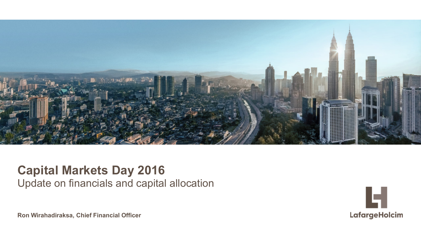

### **Capital Markets Day 2016** Update on financials and capital allocation



**Ron Wirahadiraksa, Chief Financial Officer**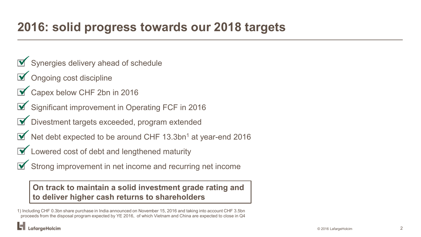## **2016: solid progress towards our 2018 targets**

- $\triangleright$  Synergies delivery ahead of schedule
- $\triangledown$  Ongoing cost discipline
- Capex below CHF 2bn in 2016
- Significant improvement in Operating FCF in 2016
- **•** Divestment targets exceeded, program extended
- $\blacktriangleright$  Net debt expected to be around CHF 13.3bn<sup>1</sup> at year-end 2016
- $\triangleright$  Lowered cost of debt and lengthened maturity
- $\blacktriangleright$  Strong improvement in net income and recurring net income

### **On track to maintain a solid investment grade rating and to deliver higher cash returns to shareholders**

1) Including CHF 0.3bn share purchase in India announced on November 15, 2016 and taking into account CHF 3.5bn proceeds from the disposal program expected by YE 2016, of which Vietnam and China are expected to close in Q4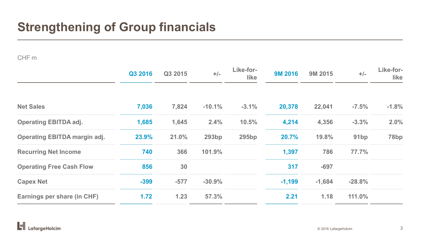# **Strengthening of Group financials**

#### CHF m

|                                     | Q3 2016 | Q3 2015 | $+/-$        | Like-for-<br>like | <b>9M 2016</b> | 9M 2015  | $+/-$            | Like-for-<br><b>like</b> |
|-------------------------------------|---------|---------|--------------|-------------------|----------------|----------|------------------|--------------------------|
| <b>Net Sales</b>                    | 7,036   | 7,824   | $-10.1%$     | $-3.1%$           | 20,378         | 22,041   | $-7.5%$          | $-1.8%$                  |
| <b>Operating EBITDA adj.</b>        | 1,685   | 1,645   | 2.4%         | 10.5%             | 4,214          | 4,356    | $-3.3%$          | 2.0%                     |
| <b>Operating EBITDA margin adj.</b> | 23.9%   | 21.0%   | <b>293bp</b> | <b>295bp</b>      | 20.7%          | 19.8%    | 91 <sub>bp</sub> | 78 <sub>bp</sub>         |
| <b>Recurring Net Income</b>         | 740     | 366     | 101.9%       |                   | 1,397          | 786      | 77.7%            |                          |
| <b>Operating Free Cash Flow</b>     | 856     | 30      |              |                   | 317            | $-697$   |                  |                          |
| <b>Capex Net</b>                    | $-399$  | $-577$  | $-30.9%$     |                   | $-1,199$       | $-1,684$ | $-28.8%$         |                          |
| Earnings per share (in CHF)         | 1.72    | $1.23$  | 57.3%        |                   | 2.21           | 1.18     | 111.0%           |                          |

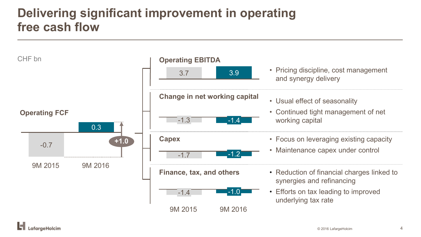# **Delivering significant improvement in operating free cash flow**

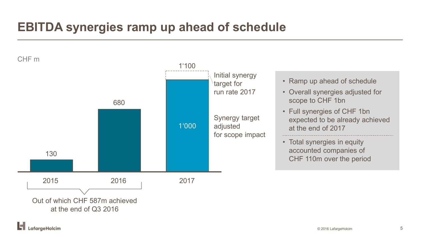# **EBITDA synergies ramp up ahead of schedule**

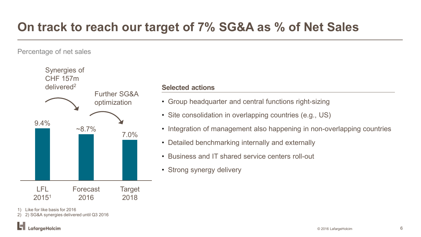## **On track to reach our target of 7% SG&A as % of Net Sales**

Percentage of net sales



#### **Selected actions**

- Group headquarter and central functions right-sizing
- Site consolidation in overlapping countries (e.g., US)
- Integration of management also happening in non-overlapping countries
- Detailed benchmarking internally and externally
- Business and IT shared service centers roll-out
- Strong synergy delivery

1) Like for like basis for 2016

2) 2) SG&A synergies delivered until Q3 2016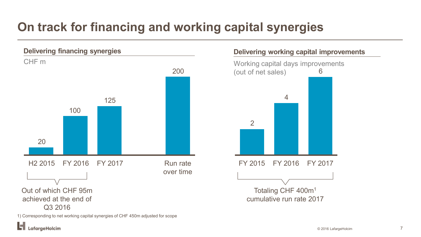# **On track for financing and working capital synergies**



#### 1) Corresponding to net working capital synergies of CHF 450m adjusted for scope

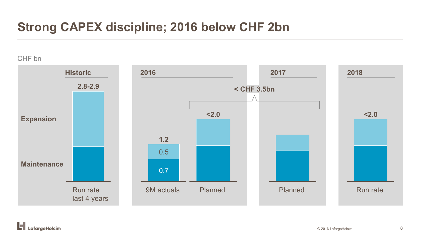### **Strong CAPEX discipline; 2016 below CHF 2bn**

#### CHF bn



ы LafargeHolcim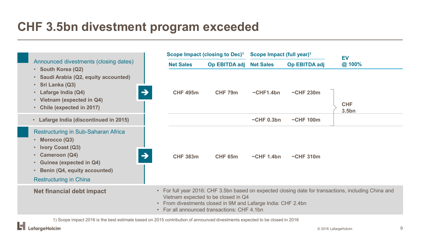### **CHF 3.5bn divestment program exceeded**



1) Scope impact 2016 is the best estimate based on 2015 contribution of announced divestments expected to be closed in 2016

.afaraeHolcim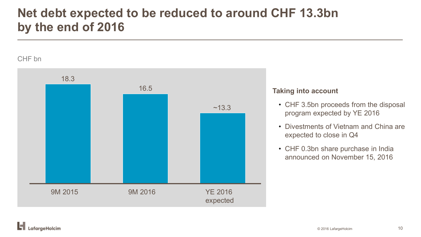### **Net debt expected to be reduced to around CHF 13.3bn by the end of 2016**

#### CHF bn



#### **Taking into account**

- CHF 3.5bn proceeds from the disposal program expected by YE 2016
- Divestments of Vietnam and China are expected to close in Q4
- CHF 0.3bn share purchase in India announced on November 15, 2016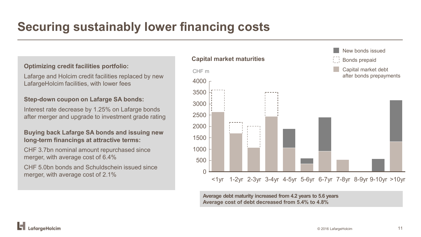# **Securing sustainably lower financing costs**

#### **Optimizing credit facilities portfolio:**

Lafarge and Holcim credit facilities replaced by new LafargeHolcim facilities, with lower fees

#### **Step-down coupon on Lafarge SA bonds:**

Interest rate decrease by 1.25% on Lafarge bonds after merger and upgrade to investment grade rating

#### **Buying back Lafarge SA bonds and issuing new long-term financings at attractive terms:**

CHF 3.7bn nominal amount repurchased since merger, with average cost of 6.4%

CHF 5.0bn bonds and Schuldschein issued since merger, with average cost of 2.1%



**Average debt maturity increased from 4.2 years to 5.6 years Average cost of debt decreased from 5.4% to 4.8%**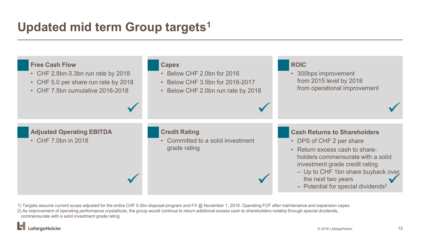# **Updated mid term Group targets1**



1) Targets assume current scope adjusted for the entire CHF 5.0bn disposal program and FX @ November 1, 2016. Operating FCF after maintenance and expansion capex.

2) As improvement of operating performance crystallizes, the group would continue to return additional excess cash to shareholders notably through special dividends, commensurate with a solid investment grade rating

.afargeHolcim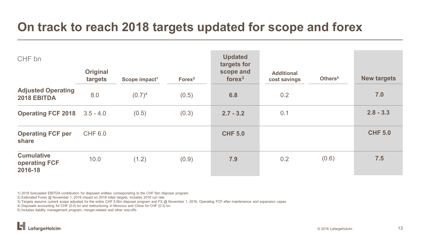### **On track to reach 2018 targets updated for scope and forex**

| CHF bn                                               |                            |                           |                    | <b>Updated</b><br>targets for |                                   |                     |                    |
|------------------------------------------------------|----------------------------|---------------------------|--------------------|-------------------------------|-----------------------------------|---------------------|--------------------|
|                                                      | <b>Original</b><br>targets | Scope impact <sup>1</sup> | Forex <sup>2</sup> | scope and<br>fore $x^3$       | <b>Additional</b><br>cost savings | Others <sup>5</sup> | <b>New targets</b> |
| <b>Adjusted Operating</b><br>2018 EBITDA             | 8.0                        | $(0.7)^4$                 | (0.5)              | 6.8                           | 0.2                               |                     | 7.0                |
| <b>Operating FCF 2018</b>                            | $3.5 - 4.0$                | (0.5)                     | (0.3)              | $2.7 - 3.2$                   | 0.1                               |                     | $2.8 - 3.3$        |
| <b>Operating FCF per</b><br>share                    | <b>CHF 6.0</b>             |                           |                    | <b>CHF 5.0</b>                |                                   |                     | <b>CHF 5.0</b>     |
| <b>Cumulative</b><br><b>operating FCF</b><br>2016-18 | 10.0                       | (1.2)                     | (0.9)              | 7.9                           | 0.2                               | (0.6)               | 7.5                |

1) 2018 forecasted EBITDA contribution for disposed entities corresponding to the CHF 5bn disposal program

2) Estimated Forex @ November 1, 2016 impact on 2018 initial targets, includes 2016 run rate

3) Targets assume current scope adjusted for the entire CHF 5.0bn disposal program and FX @ November 1, 2016. Operating FCF after maintenance and expansion capex.

4) Disposals accounting for CHF (0.4) bn and restructuring in Morocco and China for CHF (0.3) bn

5) Includes liability management program, merger-related and other one-offs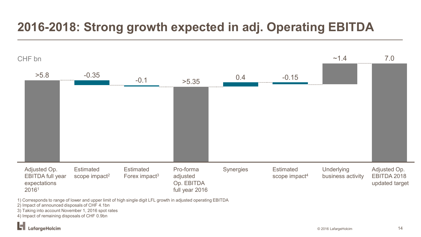# **2016-2018: Strong growth expected in adj. Operating EBITDA**



1) Corresponds to range of lower and upper limit of high single digit LFL growth in adjusted operating EBITDA

2) Impact of announced disposals of CHF 4.1bn

3) Taking into account November 1, 2016 spot rates

4) Impact of remaining disposals of CHF 0.9bn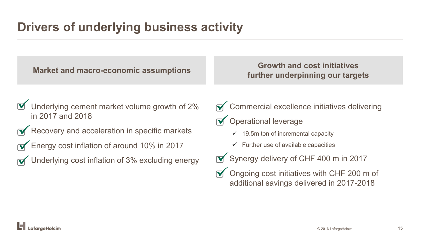**Market and macro-economic assumptions Growth and cost initiatives**

**further underpinning our targets**

- $\mathbf{\nabla}$  Underlying cement market volume growth of 2% in 2017 and 2018
- $\sqrt{\bullet}$  Recovery and acceleration in specific markets
- Energy cost inflation of around 10% in 2017
- Underlying cost inflation of 3% excluding energy
- $\sqrt{\frac{1}{2}}$  Commercial excellence initiatives delivering
- $\triangledown$  Operational leverage
	- $\checkmark$  19.5m ton of incremental capacity
	- $\checkmark$  Further use of available capacities
- **Synergy delivery of CHF 400 m in 2017**
- $\triangledown$  Ongoing cost initiatives with CHF 200 m of additional savings delivered in 2017-2018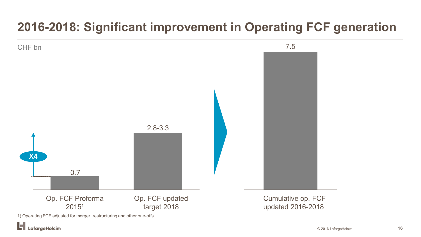# **2016-2018: Significant improvement in Operating FCF generation**



LafargeHolcim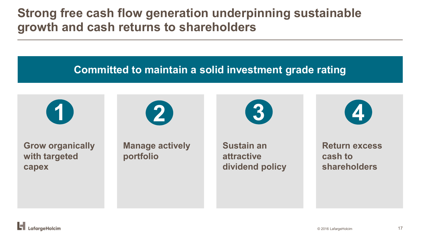### **Strong free cash flow generation underpinning sustainable growth and cash returns to shareholders**

### **Committed to maintain a solid investment grade rating**



**Grow organically with targeted capex**



**Manage actively portfolio** 

**1 2 3 4**

**Sustain an attractive dividend policy**

**Return excess cash to shareholders**

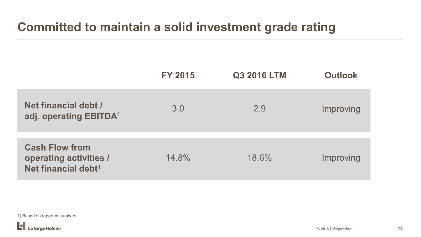### **Committed to maintain a solid investment grade rating**

|                                                                                           | <b>FY 2015</b> | <b>Q3 2016 LTM</b> | <b>Outlook</b> |
|-------------------------------------------------------------------------------------------|----------------|--------------------|----------------|
| Net financial debt /<br>adj. operating EBITDA <sup>1</sup>                                | 3.0            | 2.9                | Improving      |
| <b>Cash Flow from</b><br><b>operating activities /</b><br>Net financial debt <sup>1</sup> | 14.8%          | 18.6%              | Improving      |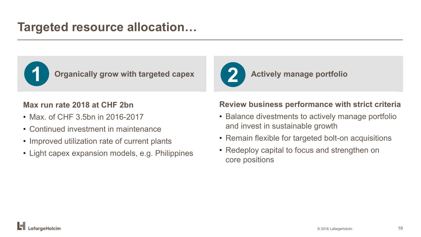### **Targeted resource allocation…**



**Organically grow with targeted capex Actively manage portfolio 1 2**

### **Max run rate 2018 at CHF 2bn**

- Max. of CHF 3.5bn in 2016-2017
- Continued investment in maintenance
- Improved utilization rate of current plants
- Light capex expansion models, e.g. Philippines

### **Review business performance with strict criteria**

- Balance divestments to actively manage portfolio and invest in sustainable growth
- Remain flexible for targeted bolt-on acquisitions
- Redeploy capital to focus and strengthen on core positions

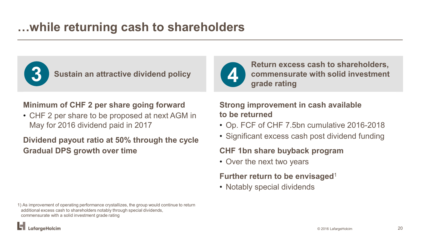### **…while returning cash to shareholders**



**Sustain an attractive dividend policy 3 6** Sustain an attractive dividend policy **1** 

### **Minimum of CHF 2 per share going forward**

• CHF 2 per share to be proposed at next AGM in May for 2016 dividend paid in 2017

### **Dividend payout ratio at 50% through the cycle Gradual DPS growth over time**

**Return excess cash to shareholders, commensurate with solid investment grade rating**

**Strong improvement in cash available to be returned**

- Op. FCF of CHF 7.5bn cumulative 2016-2018
- Significant excess cash post dividend funding

### **CHF 1bn share buyback program**

• Over the next two years

### **Further return to be envisaged**<sup>1</sup>

• Notably special dividends

1) As improvement of operating performance crystallizes, the group would continue to return additional excess cash to shareholders notably through special dividends, commensurate with a solid investment grade rating